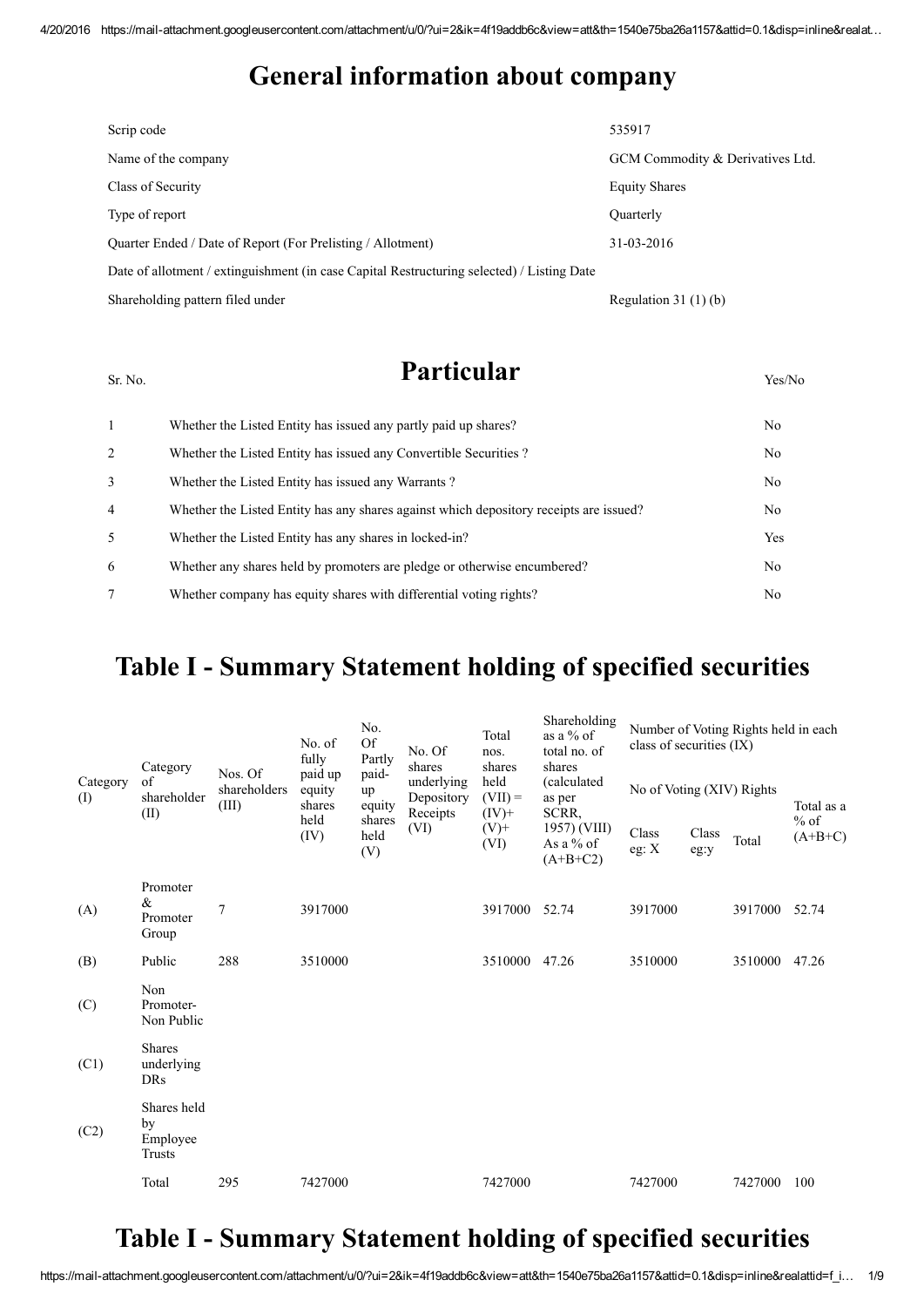#### General information about company

| Scrip code                                                                                 | 535917                           |
|--------------------------------------------------------------------------------------------|----------------------------------|
| Name of the company                                                                        | GCM Commodity & Derivatives Ltd. |
| Class of Security                                                                          | <b>Equity Shares</b>             |
| Type of report                                                                             | <b>Ouarterly</b>                 |
| Quarter Ended / Date of Report (For Prelisting / Allotment)                                | 31-03-2016                       |
| Date of allotment / extinguishment (in case Capital Restructuring selected) / Listing Date |                                  |
| Shareholding pattern filed under                                                           | Regulation $31(1)(b)$            |

#### $S_{\rm r. No.}$  **Particular**  $V_{\rm res/No}$

1 Whether the Listed Entity has issued any partly paid up shares? No 2 Whether the Listed Entity has issued any Convertible Securities ? No 3 Whether the Listed Entity has issued any Warrants ? No 4 Whether the Listed Entity has any shares against which depository receipts are issued? No 5 Whether the Listed Entity has any shares in locked-in? Yes 6 Whether any shares held by promoters are pledge or otherwise encumbered? No 7 Whether company has equity shares with differential voting rights? No

#### Table I - Summary Statement holding of specified securities

|                 | Category<br>of<br>shareholder<br>(II)     |                                  | No. of<br>fully             | No.<br><b>Of</b><br>Partly | No. Of<br>shares<br>underlying<br>Depository<br>Receipts | Total<br>nos.<br>shares<br>held<br>$(VII) =$<br>$(IV)+$ | Shareholding<br>as a % of<br>total no. of<br>shares | Number of Voting Rights held in each<br>class of securities (IX) |               |         |                     |
|-----------------|-------------------------------------------|----------------------------------|-----------------------------|----------------------------|----------------------------------------------------------|---------------------------------------------------------|-----------------------------------------------------|------------------------------------------------------------------|---------------|---------|---------------------|
| Category<br>(I) |                                           | Nos. Of<br>shareholders<br>(III) | paid up<br>equity<br>shares | paid-<br>up<br>equity      |                                                          |                                                         | <i>(calculated)</i><br>as per<br>SCRR,              | No of Voting (XIV) Rights                                        |               |         | Total as a          |
|                 |                                           |                                  | held<br>(IV)                | shares<br>held<br>(V)      | (VI)                                                     | $(V)$ +<br>(VI)                                         | 1957) (VIII)<br>As a $%$ of<br>$(A+B+C2)$           | Class<br>eg: $\mathbf{X}$                                        | Class<br>eg:y | Total   | $%$ of<br>$(A+B+C)$ |
| (A)             | Promoter<br>&<br>Promoter<br>Group        | 7                                | 3917000                     |                            |                                                          | 3917000                                                 | 52.74                                               | 3917000                                                          |               | 3917000 | 52.74               |
| (B)             | Public                                    | 288                              | 3510000                     |                            |                                                          | 3510000                                                 | 47.26                                               | 3510000                                                          |               | 3510000 | 47.26               |
| (C)             | Non<br>Promoter-<br>Non Public            |                                  |                             |                            |                                                          |                                                         |                                                     |                                                                  |               |         |                     |
| (C1)            | <b>Shares</b><br>underlying<br><b>DRs</b> |                                  |                             |                            |                                                          |                                                         |                                                     |                                                                  |               |         |                     |
| (C2)            | Shares held<br>by<br>Employee<br>Trusts   |                                  |                             |                            |                                                          |                                                         |                                                     |                                                                  |               |         |                     |
|                 | Total                                     | 295                              | 7427000                     |                            |                                                          | 7427000                                                 |                                                     | 7427000                                                          |               | 7427000 | 100                 |

### Table I - Summary Statement holding of specified securities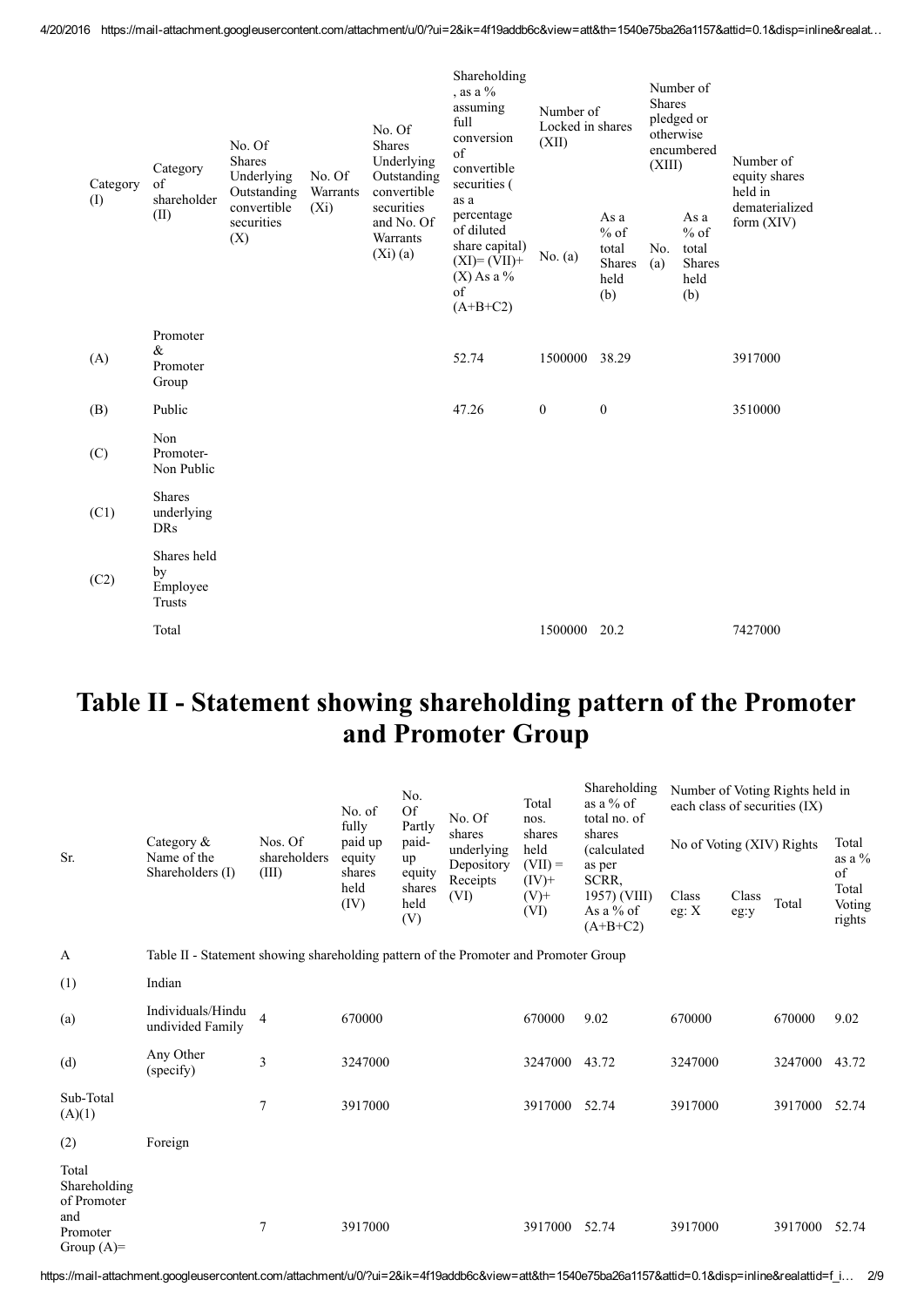| Category<br>(I) | Category<br>of | No. Of<br><b>Shares</b><br>Underlying<br>Outstanding | No. Of                           | No. Of<br><b>Shares</b><br>Underlying<br>Outstanding | Shareholding<br>, as a $%$<br>assuming<br>full<br>conversion<br>of<br>convertible<br>securities ( | Number of<br>Locked in shares<br>(XII)                                                          |               | Number of<br><b>Shares</b><br>pledged or<br>otherwise<br>encumbered<br>(XIII) |            | Number of<br>equity shares<br>held in                   |                                |  |
|-----------------|----------------|------------------------------------------------------|----------------------------------|------------------------------------------------------|---------------------------------------------------------------------------------------------------|-------------------------------------------------------------------------------------------------|---------------|-------------------------------------------------------------------------------|------------|---------------------------------------------------------|--------------------------------|--|
|                 |                | (II)                                                 | convertible<br>securities<br>(X) | Warrants<br>$(X_i)$                                  | convertible<br>securities<br>and No. Of<br>Warrants<br>(Xi)(a)                                    | percentage<br>of diluted<br>share capital)<br>$(XI)=(VII)+$<br>$(X)$ As a %<br>of<br>$(A+B+C2)$ | No. $(a)$     | As a<br>$%$ of<br>total<br><b>Shares</b><br>held<br>(b)                       | No.<br>(a) | As a<br>$%$ of<br>total<br><b>Shares</b><br>held<br>(b) | dematerialized<br>form $(XIV)$ |  |
|                 | (A)            | Promoter<br>$\&$<br>Promoter<br>Group                |                                  |                                                      |                                                                                                   | 52.74                                                                                           | 1500000 38.29 |                                                                               |            |                                                         | 3917000                        |  |
|                 | (B)            | Public                                               |                                  |                                                      |                                                                                                   | 47.26                                                                                           | $\mathbf{0}$  | $\boldsymbol{0}$                                                              |            |                                                         | 3510000                        |  |
|                 | (C)            | Non<br>Promoter-<br>Non Public                       |                                  |                                                      |                                                                                                   |                                                                                                 |               |                                                                               |            |                                                         |                                |  |
|                 | (C1)           | <b>Shares</b><br>underlying<br>DRs                   |                                  |                                                      |                                                                                                   |                                                                                                 |               |                                                                               |            |                                                         |                                |  |
|                 | (C2)           | Shares held<br>by<br>Employee<br><b>Trusts</b>       |                                  |                                                      |                                                                                                   |                                                                                                 |               |                                                                               |            |                                                         |                                |  |
|                 |                | Total                                                |                                  |                                                      |                                                                                                   |                                                                                                 | 1500000 20.2  |                                                                               |            |                                                         | 7427000                        |  |

### Table II - Statement showing shareholding pattern of the Promoter and Promoter Group

|                                             |                                                                                      | Nos. Of<br>shareholders<br>(III) | No. of<br>fully<br>paid up<br>equity<br>shares<br>held<br>(IV) | No.<br><b>Of</b>                | No. Of<br>shares<br>underlying<br>Depository | Total<br>nos.               | Shareholding<br>as a $%$ of<br>total no. of      | Number of Voting Rights held in<br>each class of securities (IX) |               |         |                           |
|---------------------------------------------|--------------------------------------------------------------------------------------|----------------------------------|----------------------------------------------------------------|---------------------------------|----------------------------------------------|-----------------------------|--------------------------------------------------|------------------------------------------------------------------|---------------|---------|---------------------------|
| Sr.                                         | Category $\&$<br>Name of the<br>Shareholders (I)                                     |                                  |                                                                | Partly<br>paid-<br>up<br>equity |                                              | shares<br>held<br>$(VII) =$ | shares<br>(calculated<br>as per                  | No of Voting (XIV) Rights                                        |               |         | Total<br>as a $%$<br>of   |
|                                             |                                                                                      |                                  |                                                                | shares<br>held<br>(V)           | Receipts<br>(VI)                             | $(IV)$ +<br>$(V)$ +<br>(VI) | SCRR,<br>1957) (VIII)<br>As a % of<br>$(A+B+C2)$ | Class<br>eg: $X$                                                 | Class<br>eg:y | Total   | Total<br>Voting<br>rights |
| A                                           | Table II - Statement showing shareholding pattern of the Promoter and Promoter Group |                                  |                                                                |                                 |                                              |                             |                                                  |                                                                  |               |         |                           |
| (1)                                         | Indian                                                                               |                                  |                                                                |                                 |                                              |                             |                                                  |                                                                  |               |         |                           |
| (a)                                         | Individuals/Hindu<br>undivided Family                                                | $\overline{4}$                   | 670000                                                         |                                 |                                              | 670000                      | 9.02                                             | 670000                                                           |               | 670000  | 9.02                      |
| (d)                                         | Any Other<br>(specify)                                                               | 3                                | 3247000                                                        |                                 |                                              | 3247000                     | 43.72                                            | 3247000                                                          |               | 3247000 | 43.72                     |
| Sub-Total<br>(A)(1)                         |                                                                                      | $\tau$                           | 3917000                                                        |                                 |                                              | 3917000                     | 52.74                                            | 3917000                                                          |               | 3917000 | 52.74                     |
| (2)                                         | Foreign                                                                              |                                  |                                                                |                                 |                                              |                             |                                                  |                                                                  |               |         |                           |
| Total<br>Shareholding<br>of Promoter<br>and |                                                                                      |                                  |                                                                |                                 |                                              |                             |                                                  |                                                                  |               |         |                           |
| Promoter<br>Group $(A)=$                    |                                                                                      | 7                                | 3917000                                                        |                                 |                                              | 3917000                     | 52.74                                            | 3917000                                                          |               | 3917000 | 52.74                     |

https://mail-attachment.googleusercontent.com/attachment/u/0/?ui=2&ik=4f19addb6c&view=att&th=1540e75ba26a1157&attid=0.1&disp=inline&realattid=f\_i... 2/9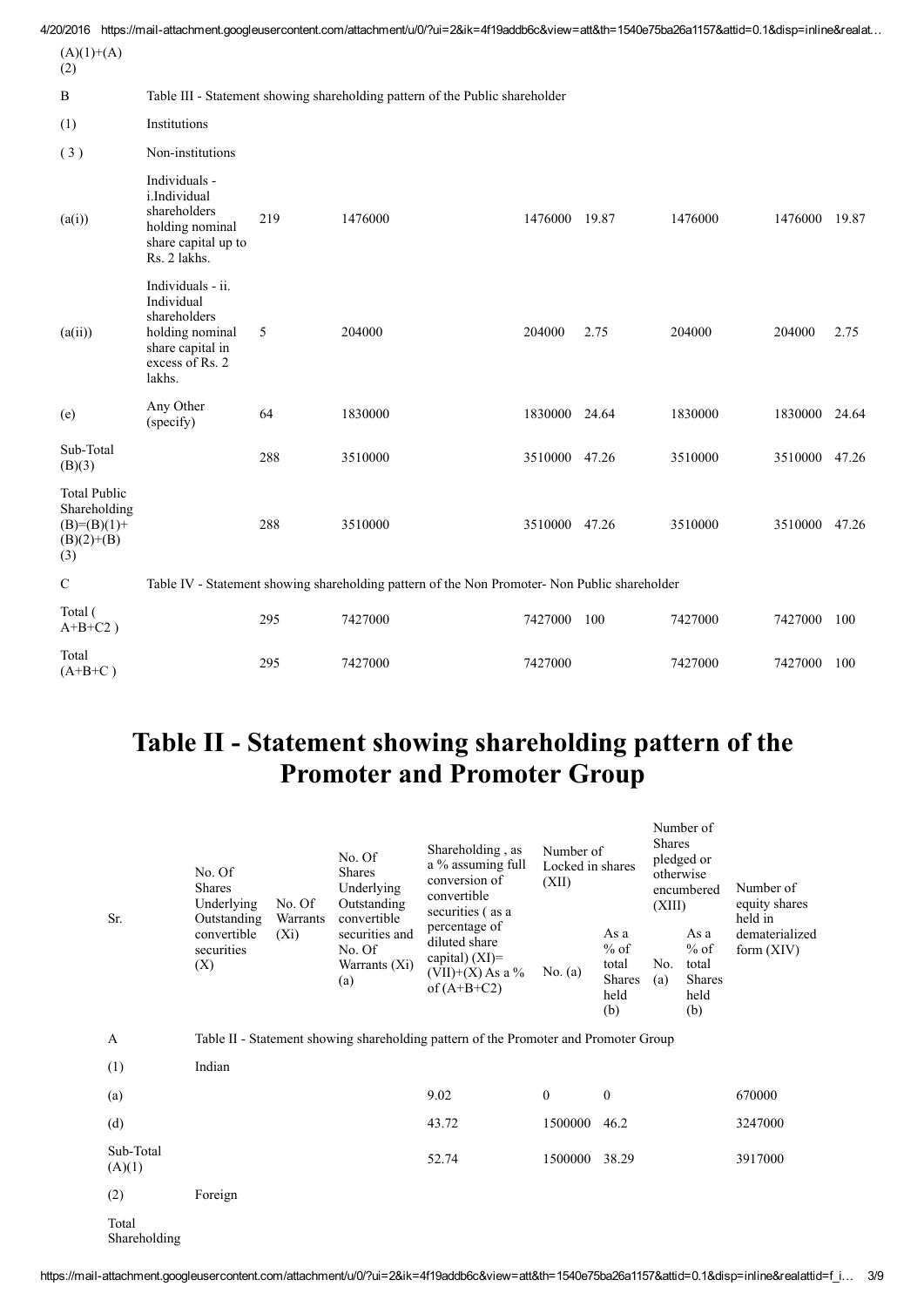|                                                                             |                                                                                                                     |     | 4/20/2016 https://mail-attachment.googleusercontent.com/attachment/u/0/?ui=2&ik=4f19addb6c&view=att&th=1540e75ba26a1157&attid=0.1&disp=inline&realat |               |       |         |               |       |  |
|-----------------------------------------------------------------------------|---------------------------------------------------------------------------------------------------------------------|-----|------------------------------------------------------------------------------------------------------------------------------------------------------|---------------|-------|---------|---------------|-------|--|
| $(A)(1)+(A)$<br>(2)                                                         |                                                                                                                     |     |                                                                                                                                                      |               |       |         |               |       |  |
| $\bf{B}$                                                                    |                                                                                                                     |     | Table III - Statement showing shareholding pattern of the Public shareholder                                                                         |               |       |         |               |       |  |
| (1)                                                                         | Institutions                                                                                                        |     |                                                                                                                                                      |               |       |         |               |       |  |
| (3)                                                                         | Non-institutions                                                                                                    |     |                                                                                                                                                      |               |       |         |               |       |  |
| (a(i))                                                                      | Individuals -<br>i.Individual<br>shareholders<br>holding nominal<br>share capital up to<br>Rs. 2 lakhs.             | 219 | 1476000                                                                                                                                              | 1476000       | 19.87 | 1476000 | 1476000       | 19.87 |  |
| (a(ii))                                                                     | Individuals - ii.<br>Individual<br>shareholders<br>holding nominal<br>share capital in<br>excess of Rs. 2<br>lakhs. | 5   | 204000                                                                                                                                               | 204000        | 2.75  | 204000  | 204000        | 2.75  |  |
| (e)                                                                         | Any Other<br>(specify)                                                                                              | 64  | 1830000                                                                                                                                              | 1830000 24.64 |       | 1830000 | 1830000 24.64 |       |  |
| Sub-Total<br>(B)(3)                                                         |                                                                                                                     | 288 | 3510000                                                                                                                                              | 3510000 47.26 |       | 3510000 | 3510000 47.26 |       |  |
| <b>Total Public</b><br>Shareholding<br>$(B)=(B)(1)+$<br>$(B)(2)+(B)$<br>(3) |                                                                                                                     | 288 | 3510000                                                                                                                                              | 3510000 47.26 |       | 3510000 | 3510000 47.26 |       |  |
| $\mathbf C$                                                                 | Table IV - Statement showing shareholding pattern of the Non Promoter- Non Public shareholder                       |     |                                                                                                                                                      |               |       |         |               |       |  |
| Total (<br>$A+B+C2$ )                                                       |                                                                                                                     | 295 | 7427000                                                                                                                                              | 7427000       | 100   | 7427000 | 7427000       | 100   |  |
| Total<br>$(A+B+C)$                                                          |                                                                                                                     | 295 | 7427000                                                                                                                                              | 7427000       |       | 7427000 | 7427000       | 100   |  |

## Table II - Statement showing shareholding pattern of the Promoter and Promoter Group

| Sr.                   | No. Of<br><b>Shares</b><br>Underlying<br>Outstanding<br>convertible<br>securities<br>(X) | No. Of<br>Warrants | No. Of<br><b>Shares</b><br>Underlying<br>Outstanding<br>convertible | Shareholding, as<br>a % assuming full<br>conversion of<br>convertible<br>securities (as a<br>percentage of<br>diluted share<br>capital) $(XI)=$<br>$(VII)+(X)$ As a %<br>of $(A+B+C2)$ | Number of<br>Locked in shares<br>(XII) |                                                         | Number of<br><b>Shares</b><br>pledged or<br>otherwise<br>encumbered<br>(XIII) |                                                         | Number of<br>equity shares<br>held in<br>dematerialized |
|-----------------------|------------------------------------------------------------------------------------------|--------------------|---------------------------------------------------------------------|----------------------------------------------------------------------------------------------------------------------------------------------------------------------------------------|----------------------------------------|---------------------------------------------------------|-------------------------------------------------------------------------------|---------------------------------------------------------|---------------------------------------------------------|
|                       |                                                                                          | $(X_i)$            | securities and<br>No. Of<br>Warrants $(Xi)$<br>(a)                  |                                                                                                                                                                                        | No. $(a)$                              | As a<br>$%$ of<br>total<br><b>Shares</b><br>held<br>(b) | No.<br>(a)                                                                    | As a<br>$%$ of<br>total<br><b>Shares</b><br>held<br>(b) | form $(XIV)$                                            |
| $\mathbf{A}$          |                                                                                          |                    |                                                                     | Table II - Statement showing shareholding pattern of the Promoter and Promoter Group                                                                                                   |                                        |                                                         |                                                                               |                                                         |                                                         |
| (1)                   | Indian                                                                                   |                    |                                                                     |                                                                                                                                                                                        |                                        |                                                         |                                                                               |                                                         |                                                         |
| (a)                   |                                                                                          |                    |                                                                     | 9.02                                                                                                                                                                                   | $\mathbf{0}$                           | $\mathbf{0}$                                            |                                                                               |                                                         | 670000                                                  |
| (d)                   |                                                                                          |                    |                                                                     | 43.72                                                                                                                                                                                  | 1500000                                | 46.2                                                    |                                                                               |                                                         | 3247000                                                 |
| Sub-Total<br>(A)(1)   |                                                                                          |                    |                                                                     | 52.74                                                                                                                                                                                  | 1500000                                | 38.29                                                   |                                                                               |                                                         | 3917000                                                 |
| (2)                   | Foreign                                                                                  |                    |                                                                     |                                                                                                                                                                                        |                                        |                                                         |                                                                               |                                                         |                                                         |
| Total<br>Shareholding |                                                                                          |                    |                                                                     |                                                                                                                                                                                        |                                        |                                                         |                                                                               |                                                         |                                                         |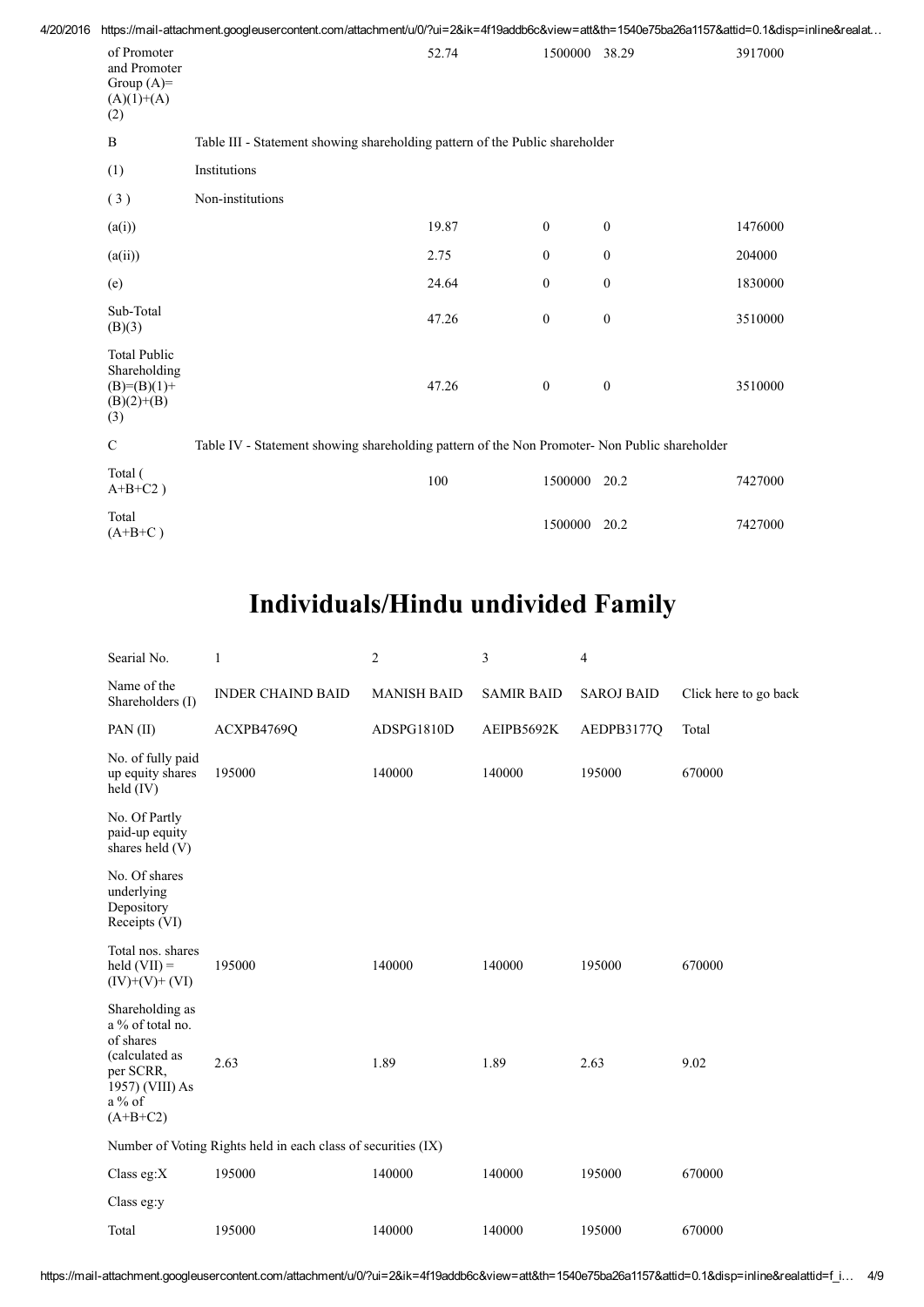| 4/20/2016 |                                                                               |                  |                                                                                               |                  |                  | https://mail-attachment.googleusercontent.com/attachment/u/0/?ui=2&ik=4f19addb6c&view=att&th=1540e75ba26a1157&attid=0.1&disp=inline&realat |
|-----------|-------------------------------------------------------------------------------|------------------|-----------------------------------------------------------------------------------------------|------------------|------------------|--------------------------------------------------------------------------------------------------------------------------------------------|
|           | of Promoter<br>and Promoter<br>Group $(A)=$<br>$(A)(1)+(A)$<br>(2)            |                  | 52.74                                                                                         | 1500000 38.29    |                  | 3917000                                                                                                                                    |
|           | B                                                                             |                  | Table III - Statement showing shareholding pattern of the Public shareholder                  |                  |                  |                                                                                                                                            |
|           | (1)                                                                           | Institutions     |                                                                                               |                  |                  |                                                                                                                                            |
|           | (3)                                                                           | Non-institutions |                                                                                               |                  |                  |                                                                                                                                            |
|           | (a(i))                                                                        |                  | 19.87                                                                                         | $\boldsymbol{0}$ | $\boldsymbol{0}$ | 1476000                                                                                                                                    |
|           | (a(ii))                                                                       |                  | 2.75                                                                                          | $\boldsymbol{0}$ | $\boldsymbol{0}$ | 204000                                                                                                                                     |
|           | (e)                                                                           |                  | 24.64                                                                                         | $\boldsymbol{0}$ | $\boldsymbol{0}$ | 1830000                                                                                                                                    |
|           | Sub-Total<br>(B)(3)                                                           |                  | 47.26                                                                                         | $\boldsymbol{0}$ | $\boldsymbol{0}$ | 3510000                                                                                                                                    |
|           | <b>Total Public</b><br>Shareholding<br>$(B)= (B)(1) +$<br>$(B)(2)+(B)$<br>(3) |                  | 47.26                                                                                         | $\mathbf{0}$     | $\boldsymbol{0}$ | 3510000                                                                                                                                    |
|           | $\mathbf C$                                                                   |                  | Table IV - Statement showing shareholding pattern of the Non Promoter- Non Public shareholder |                  |                  |                                                                                                                                            |
|           | Total (<br>$A+B+C2$ )                                                         |                  | 100                                                                                           | 1500000          | 20.2             | 7427000                                                                                                                                    |
|           | Total<br>$(A+{\bf R}+{\bf C})$                                                |                  |                                                                                               | 1500000          | 20.2             | 7427000                                                                                                                                    |

# Individuals/Hindu undivided Family

 $(A+B+C)$ 

| Searial No.                                                                                                                  | $\mathbf{1}$             | 2                  | 3                 | 4                 |                       |  |  |  |  |
|------------------------------------------------------------------------------------------------------------------------------|--------------------------|--------------------|-------------------|-------------------|-----------------------|--|--|--|--|
| Name of the<br>Shareholders (I)                                                                                              | <b>INDER CHAIND BAID</b> | <b>MANISH BAID</b> | <b>SAMIR BAID</b> | <b>SAROJ BAID</b> | Click here to go back |  |  |  |  |
| $PAN$ (II)                                                                                                                   | ACXPB4769Q               | ADSPG1810D         | AEIPB5692K        | AEDPB3177Q        | Total                 |  |  |  |  |
| No. of fully paid<br>up equity shares<br>held (IV)                                                                           | 195000                   | 140000             | 140000            | 195000            | 670000                |  |  |  |  |
| No. Of Partly<br>paid-up equity<br>shares held (V)                                                                           |                          |                    |                   |                   |                       |  |  |  |  |
| No. Of shares<br>underlying<br>Depository<br>Receipts (VI)                                                                   |                          |                    |                   |                   |                       |  |  |  |  |
| Total nos. shares<br>held $(VII) =$<br>$(IV)+(V)+(VI)$                                                                       | 195000                   | 140000             | 140000            | 195000            | 670000                |  |  |  |  |
| Shareholding as<br>a % of total no.<br>of shares<br>(calculated as<br>per SCRR,<br>1957) (VIII) As<br>$a\%$ of<br>$(A+B+C2)$ | 2.63                     | 1.89               | 1.89              | 2.63              | 9.02                  |  |  |  |  |
| Number of Voting Rights held in each class of securities (IX)                                                                |                          |                    |                   |                   |                       |  |  |  |  |
| Class eg:X                                                                                                                   | 195000                   | 140000             | 140000            | 195000            | 670000                |  |  |  |  |
| Class eg:y                                                                                                                   |                          |                    |                   |                   |                       |  |  |  |  |
| Total                                                                                                                        | 195000                   | 140000             | 140000            | 195000            | 670000                |  |  |  |  |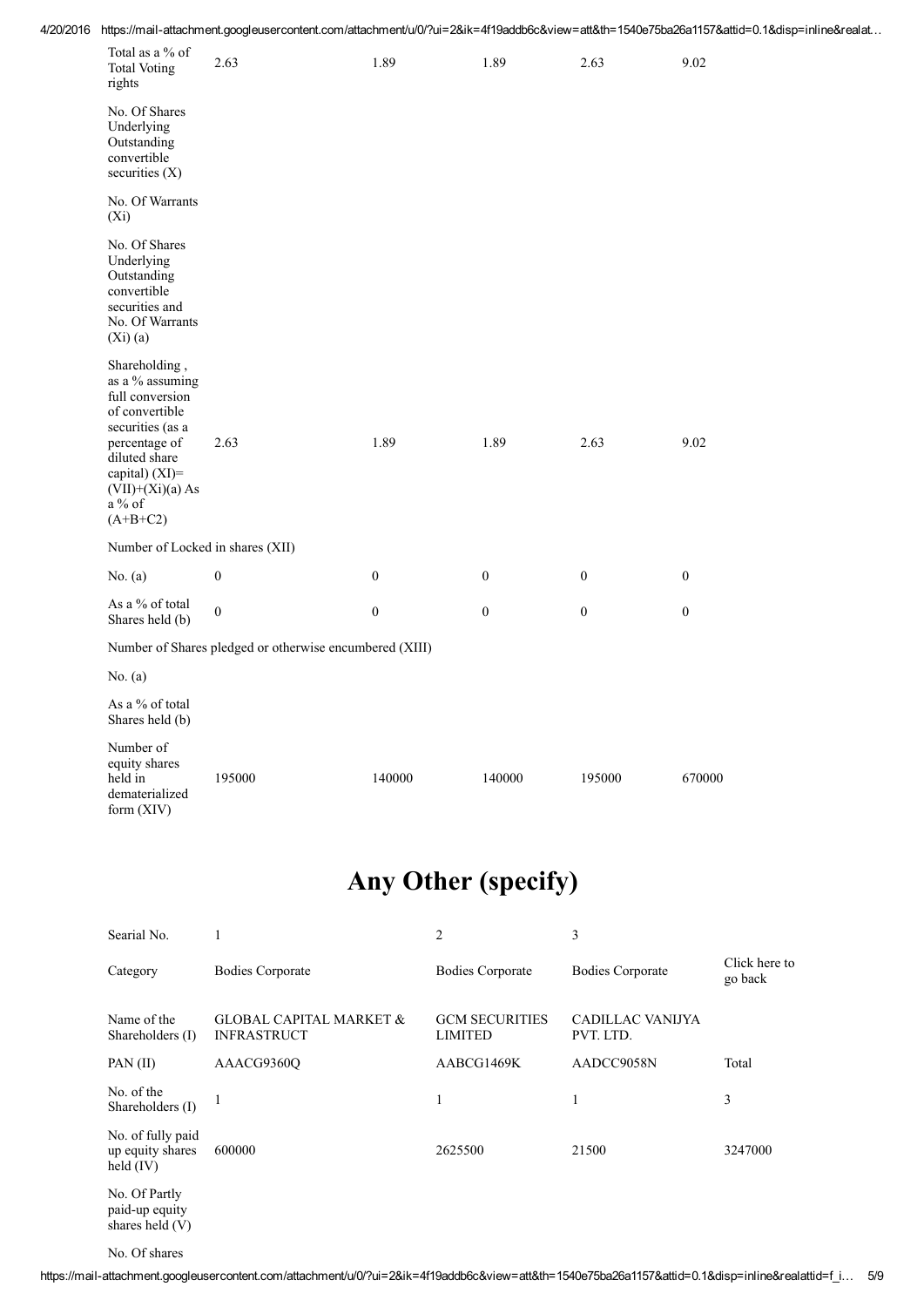| 4/20/2016 https://mail-attachment.googleusercontent.com/attachment/u/0/?ui=2&ik=4f19addb6c&view=att&th=1540e75ba26a1157&attid=0.1&disp=inline&realat |
|------------------------------------------------------------------------------------------------------------------------------------------------------|
|------------------------------------------------------------------------------------------------------------------------------------------------------|

| Total as a % of<br><b>Total Voting</b><br>rights                                                                                                                                            | 2.63             | 1.89             | 1.89             | 2.63             | 9.02             |  |  |  |  |
|---------------------------------------------------------------------------------------------------------------------------------------------------------------------------------------------|------------------|------------------|------------------|------------------|------------------|--|--|--|--|
| No. Of Shares<br>Underlying<br>Outstanding<br>convertible<br>securities $(X)$                                                                                                               |                  |                  |                  |                  |                  |  |  |  |  |
| No. Of Warrants<br>$(X_i)$                                                                                                                                                                  |                  |                  |                  |                  |                  |  |  |  |  |
| No. Of Shares<br>Underlying<br>Outstanding<br>convertible<br>securities and<br>No. Of Warrants<br>(Xi)(a)                                                                                   |                  |                  |                  |                  |                  |  |  |  |  |
| Shareholding,<br>as a % assuming<br>full conversion<br>of convertible<br>securities (as a<br>percentage of<br>diluted share<br>capital) (XI)=<br>$(VII)+(Xi)(a) As$<br>a % of<br>$(A+B+C2)$ | 2.63             | 1.89             | 1.89             | 2.63             | 9.02             |  |  |  |  |
| Number of Locked in shares (XII)                                                                                                                                                            |                  |                  |                  |                  |                  |  |  |  |  |
| No. $(a)$                                                                                                                                                                                   | $\boldsymbol{0}$ | $\boldsymbol{0}$ | $\boldsymbol{0}$ | $\boldsymbol{0}$ | $\boldsymbol{0}$ |  |  |  |  |
| As a % of total<br>Shares held (b)                                                                                                                                                          | $\mathbf{0}$     | $\boldsymbol{0}$ | $\mathbf{0}$     | $\overline{0}$   | $\mathbf{0}$     |  |  |  |  |
| Number of Shares pledged or otherwise encumbered (XIII)                                                                                                                                     |                  |                  |                  |                  |                  |  |  |  |  |
| No. $(a)$                                                                                                                                                                                   |                  |                  |                  |                  |                  |  |  |  |  |
| As a % of total<br>Shares held (b)                                                                                                                                                          |                  |                  |                  |                  |                  |  |  |  |  |
| Number of<br>equity shares<br>held in<br>dematerialized<br>form (XIV)                                                                                                                       | 195000           | 140000           | 140000           | 195000           | 670000           |  |  |  |  |

# Any Other (specify)

| Searial No.                                          |                                                          | 2                                | 3                             |                          |
|------------------------------------------------------|----------------------------------------------------------|----------------------------------|-------------------------------|--------------------------|
| Category                                             | <b>Bodies Corporate</b>                                  | <b>Bodies Corporate</b>          | <b>Bodies Corporate</b>       | Click here to<br>go back |
| Name of the<br>Shareholders (I)                      | <b>GLOBAL CAPITAL MARKET &amp;</b><br><b>INFRASTRUCT</b> | <b>GCM SECURITIES</b><br>LIMITED | CADILLAC VANIJYA<br>PVT. LTD. |                          |
| PAN $(II)$                                           | AAACG9360O                                               | AABCG1469K                       | AADCC9058N                    | Total                    |
| No. of the<br>Shareholders (I)                       |                                                          | ш                                | 1                             | 3                        |
| No. of fully paid<br>up equity shares<br>held $(IV)$ | 600000                                                   | 2625500                          | 21500                         | 3247000                  |
| No. Of Partly<br>paid-up equity<br>shares held $(V)$ |                                                          |                                  |                               |                          |
|                                                      |                                                          |                                  |                               |                          |

No. Of shares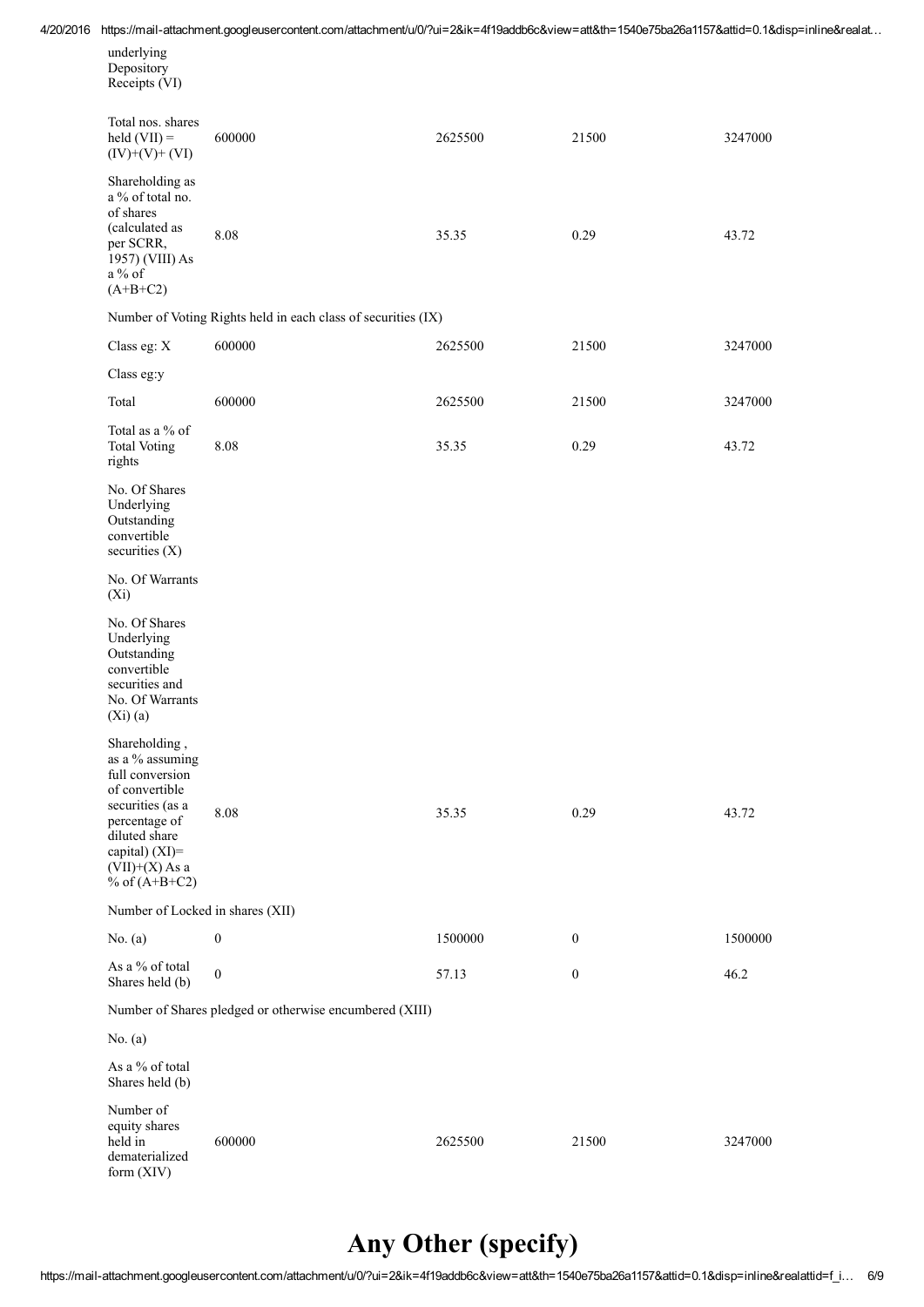4/20/2016 https://mail-attachment.googleusercontent.com/attachment/u/0/?ui=2&ik=4f19addb6c&view=att&th=1540e75ba26a1157&attid=0.1&disp=inline&realat...

| underlying    |  |
|---------------|--|
| Depository    |  |
| Receipts (VI) |  |
|               |  |

| Total nos. shares<br>$\text{held (VII)} =$<br>$(IV)+(V)+(VI)$                                                                                                                        | 600000                                                        | 2625500 | 21500            | 3247000 |  |  |  |
|--------------------------------------------------------------------------------------------------------------------------------------------------------------------------------------|---------------------------------------------------------------|---------|------------------|---------|--|--|--|
| Shareholding as<br>a % of total no.<br>of shares<br>(calculated as<br>per SCRR,<br>1957) (VIII) As<br>a % of<br>$(A+B+C2)$                                                           | 8.08                                                          | 35.35   | 0.29             | 43.72   |  |  |  |
|                                                                                                                                                                                      | Number of Voting Rights held in each class of securities (IX) |         |                  |         |  |  |  |
| Class eg: X                                                                                                                                                                          | 600000                                                        | 2625500 | 21500            | 3247000 |  |  |  |
| Class eg:y                                                                                                                                                                           |                                                               |         |                  |         |  |  |  |
| Total                                                                                                                                                                                | 600000                                                        | 2625500 | 21500            | 3247000 |  |  |  |
| Total as a % of<br><b>Total Voting</b><br>rights                                                                                                                                     | 8.08                                                          | 35.35   | 0.29             | 43.72   |  |  |  |
| No. Of Shares<br>Underlying<br>Outstanding<br>convertible<br>securities $(X)$                                                                                                        |                                                               |         |                  |         |  |  |  |
| No. Of Warrants<br>$(X_i)$                                                                                                                                                           |                                                               |         |                  |         |  |  |  |
| No. Of Shares<br>Underlying<br>Outstanding<br>convertible<br>securities and<br>No. Of Warrants<br>(Xi)(a)                                                                            |                                                               |         |                  |         |  |  |  |
| Shareholding,<br>as a % assuming<br>full conversion<br>of convertible<br>securities (as a<br>percentage of<br>diluted share<br>capital) (XI)=<br>$(VII)+(X)$ As a<br>% of $(A+B+C2)$ | 8.08                                                          | 35.35   | 0.29             | 43.72   |  |  |  |
| Number of Locked in shares (XII)                                                                                                                                                     |                                                               |         |                  |         |  |  |  |
| No. $(a)$                                                                                                                                                                            | $\boldsymbol{0}$                                              | 1500000 | $\mathbf{0}$     | 1500000 |  |  |  |
| As a % of total<br>Shares held (b)                                                                                                                                                   | $\boldsymbol{0}$                                              | 57.13   | $\boldsymbol{0}$ | 46.2    |  |  |  |
| Number of Shares pledged or otherwise encumbered (XIII)                                                                                                                              |                                                               |         |                  |         |  |  |  |
| No. $(a)$                                                                                                                                                                            |                                                               |         |                  |         |  |  |  |
| As a % of total<br>Shares held (b)                                                                                                                                                   |                                                               |         |                  |         |  |  |  |
| Number of<br>equity shares<br>held in<br>dematerialized<br>form (XIV)                                                                                                                | 600000                                                        | 2625500 | 21500            | 3247000 |  |  |  |

## Any Other (specify)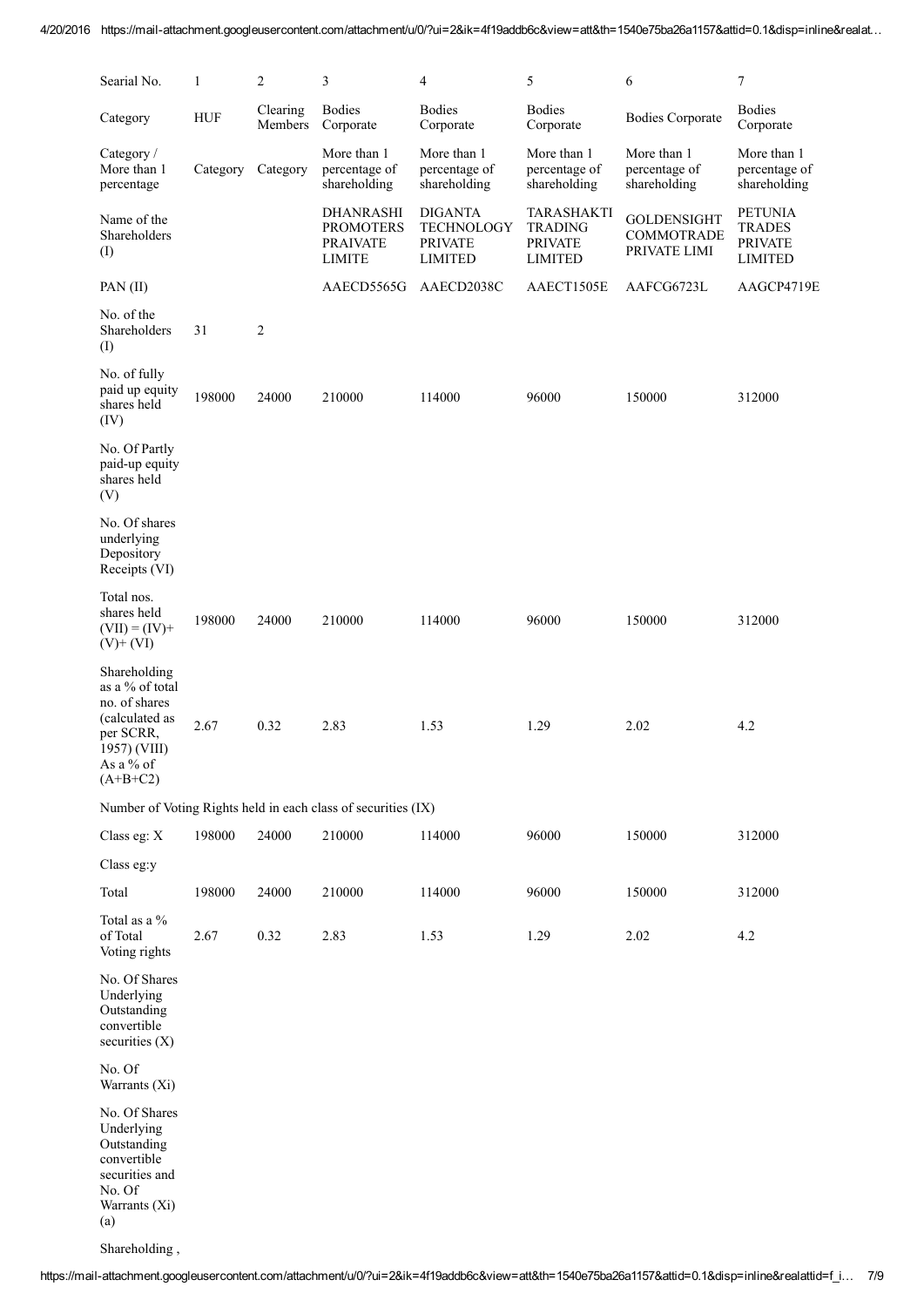| Searial No.                                                                                                                  | 1        | $\overline{2}$      | 3                                                                        | 4                                                                       | 5                                                                       | 6                                                       | 7                                                                   |
|------------------------------------------------------------------------------------------------------------------------------|----------|---------------------|--------------------------------------------------------------------------|-------------------------------------------------------------------------|-------------------------------------------------------------------------|---------------------------------------------------------|---------------------------------------------------------------------|
| Category                                                                                                                     | HUF      | Clearing<br>Members | <b>Bodies</b><br>Corporate                                               | <b>Bodies</b><br>Corporate                                              | <b>Bodies</b><br>Corporate                                              | <b>Bodies Corporate</b>                                 | <b>Bodies</b><br>Corporate                                          |
| Category /<br>More than 1<br>percentage                                                                                      | Category | Category            | More than 1<br>percentage of<br>shareholding                             | More than 1<br>percentage of<br>shareholding                            | More than 1<br>percentage of<br>shareholding                            | More than 1<br>percentage of<br>shareholding            | More than 1<br>percentage of<br>shareholding                        |
| Name of the<br>Shareholders<br>(I)                                                                                           |          |                     | <b>DHANRASHI</b><br><b>PROMOTERS</b><br><b>PRAIVATE</b><br><b>LIMITE</b> | <b>DIGANTA</b><br><b>TECHNOLOGY</b><br><b>PRIVATE</b><br><b>LIMITED</b> | <b>TARASHAKTI</b><br><b>TRADING</b><br><b>PRIVATE</b><br><b>LIMITED</b> | <b>GOLDENSIGHT</b><br><b>COMMOTRADE</b><br>PRIVATE LIMI | <b>PETUNIA</b><br><b>TRADES</b><br><b>PRIVATE</b><br><b>LIMITED</b> |
| PAN (II)                                                                                                                     |          |                     | AAECD5565G                                                               | AAECD2038C                                                              | AAECT1505E                                                              | AAFCG6723L                                              | AAGCP4719E                                                          |
| No. of the<br>Shareholders<br>(I)                                                                                            | 31       | $\overline{2}$      |                                                                          |                                                                         |                                                                         |                                                         |                                                                     |
| No. of fully<br>paid up equity<br>shares held<br>(IV)                                                                        | 198000   | 24000               | 210000                                                                   | 114000                                                                  | 96000                                                                   | 150000                                                  | 312000                                                              |
| No. Of Partly<br>paid-up equity<br>shares held<br>(V)                                                                        |          |                     |                                                                          |                                                                         |                                                                         |                                                         |                                                                     |
| No. Of shares<br>underlying<br>Depository<br>Receipts (VI)                                                                   |          |                     |                                                                          |                                                                         |                                                                         |                                                         |                                                                     |
| Total nos.<br>shares held<br>$(VII) = (IV) +$<br>$(V)$ + $(VI)$                                                              | 198000   | 24000               | 210000                                                                   | 114000                                                                  | 96000                                                                   | 150000                                                  | 312000                                                              |
| Shareholding<br>as a % of total<br>no. of shares<br>(calculated as<br>per SCRR,<br>1957) (VIII)<br>As a $%$ of<br>$(A+B+C2)$ | 2.67     | 0.32                | 2.83                                                                     | 1.53                                                                    | 1.29                                                                    | 2.02                                                    | 4.2                                                                 |
|                                                                                                                              |          |                     | Number of Voting Rights held in each class of securities (IX)            |                                                                         |                                                                         |                                                         |                                                                     |
| Class eg: X                                                                                                                  | 198000   | 24000               | 210000                                                                   | 114000                                                                  | 96000                                                                   | 150000                                                  | 312000                                                              |
| Class eg:y                                                                                                                   |          |                     |                                                                          |                                                                         |                                                                         |                                                         |                                                                     |
| Total                                                                                                                        | 198000   | 24000               | 210000                                                                   | 114000                                                                  | 96000                                                                   | 150000                                                  | 312000                                                              |
| Total as a %<br>of Total<br>Voting rights                                                                                    | 2.67     | 0.32                | 2.83                                                                     | 1.53                                                                    | 1.29                                                                    | 2.02                                                    | 4.2                                                                 |
| No. Of Shares<br>Underlying<br>Outstanding<br>convertible<br>securities $(X)$                                                |          |                     |                                                                          |                                                                         |                                                                         |                                                         |                                                                     |
| No. Of<br>Warrants (Xi)                                                                                                      |          |                     |                                                                          |                                                                         |                                                                         |                                                         |                                                                     |
| No. Of Shares<br>Underlying<br>Outstanding<br>convertible<br>securities and<br>No. Of<br>Warrants (Xi)<br>(a)                |          |                     |                                                                          |                                                                         |                                                                         |                                                         |                                                                     |

Shareholding ,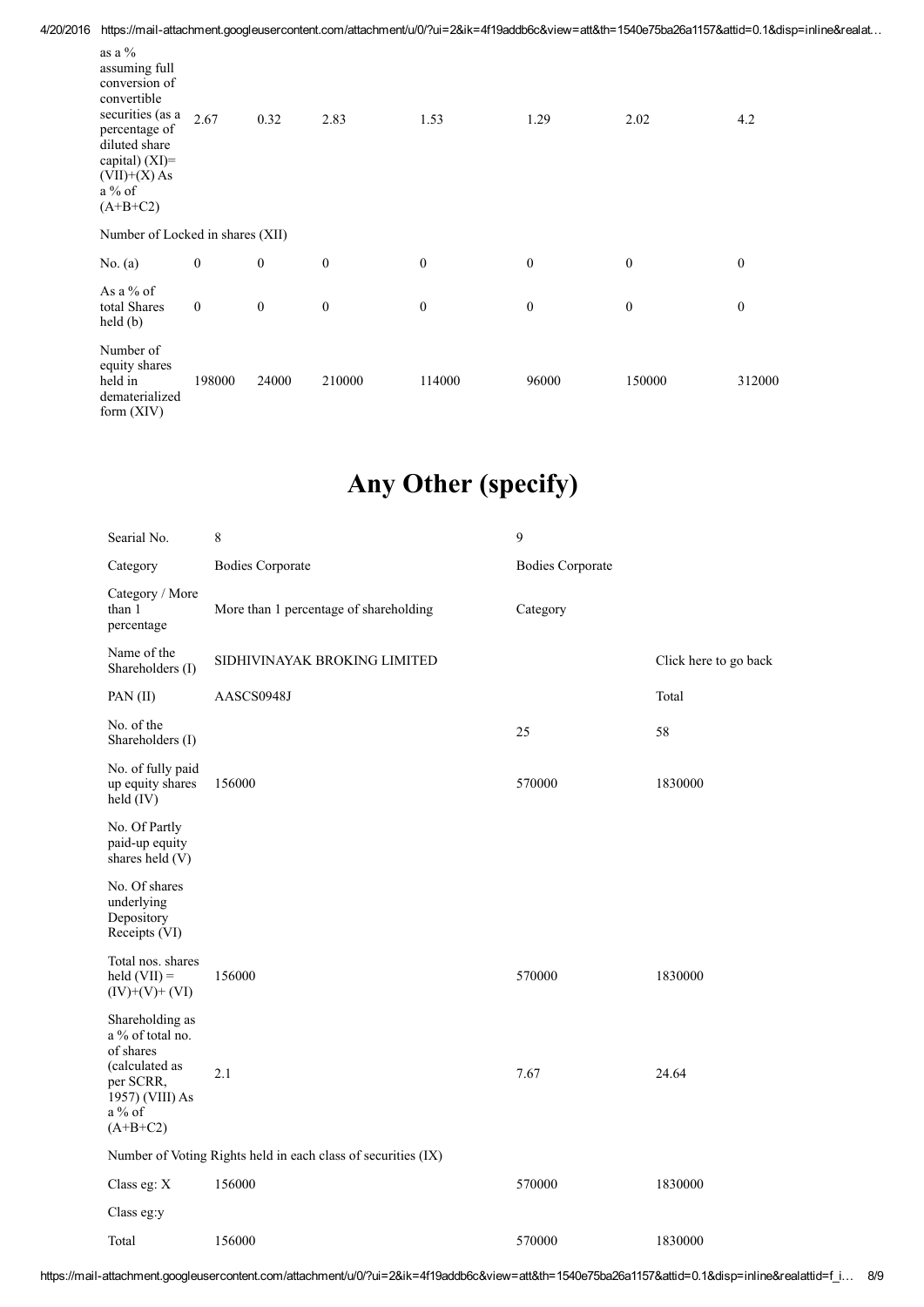4/20/2016 https://mail-attachment.googleusercontent.com/attachment/u/0/?ui=2&ik=4f19addb6c&view=att&th=1540e75ba26a1157&attid=0.1&disp=inline&realat...

| as a $%$<br>assuming full<br>conversion of<br>convertible<br>securities (as a<br>percentage of<br>diluted share<br>capital) (XI)=<br>$(VII)+(X)$ As<br>$a\%$ of<br>$(A+B+C2)$ | 2.67             | 0.32             | 2.83             | 1.53             | 1.29             | 2.02             | 4.2              |
|-------------------------------------------------------------------------------------------------------------------------------------------------------------------------------|------------------|------------------|------------------|------------------|------------------|------------------|------------------|
| Number of Locked in shares (XII)                                                                                                                                              |                  |                  |                  |                  |                  |                  |                  |
| No. $(a)$                                                                                                                                                                     | $\boldsymbol{0}$ | $\boldsymbol{0}$ | $\boldsymbol{0}$ | $\mathbf{0}$     | $\boldsymbol{0}$ | $\boldsymbol{0}$ | $\boldsymbol{0}$ |
| As a $%$ of<br>total Shares<br>held(b)                                                                                                                                        | $\mathbf{0}$     | $\boldsymbol{0}$ | $\boldsymbol{0}$ | $\boldsymbol{0}$ | $\boldsymbol{0}$ | $\boldsymbol{0}$ | $\boldsymbol{0}$ |
| Number of<br>equity shares<br>held in<br>dematerialized<br>form (XIV)                                                                                                         | 198000           | 24000            | 210000           | 114000           | 96000            | 150000           | 312000           |

## Any Other (specify)

| Searial No.                                                                                                                | 8                                      | 9                       |                       |  |  |  |
|----------------------------------------------------------------------------------------------------------------------------|----------------------------------------|-------------------------|-----------------------|--|--|--|
| Category                                                                                                                   | <b>Bodies Corporate</b>                | <b>Bodies Corporate</b> |                       |  |  |  |
| Category / More<br>than 1<br>percentage                                                                                    | More than 1 percentage of shareholding | Category                |                       |  |  |  |
| Name of the<br>Shareholders (I)                                                                                            | SIDHIVINAYAK BROKING LIMITED           |                         | Click here to go back |  |  |  |
| $PAN$ (II)                                                                                                                 | AASCS0948J                             |                         | Total                 |  |  |  |
| No. of the<br>Shareholders (I)                                                                                             |                                        | 25                      | 58                    |  |  |  |
| No. of fully paid<br>up equity shares<br>held (IV)                                                                         | 156000                                 | 570000                  | 1830000               |  |  |  |
| No. Of Partly<br>paid-up equity<br>shares held (V)                                                                         |                                        |                         |                       |  |  |  |
| No. Of shares<br>underlying<br>Depository<br>Receipts (VI)                                                                 |                                        |                         |                       |  |  |  |
| Total nos. shares<br>$held (VII) =$<br>$(IV)+(V)+(VI)$                                                                     | 156000                                 | 570000                  | 1830000               |  |  |  |
| Shareholding as<br>a % of total no.<br>of shares<br>(calculated as<br>per SCRR,<br>1957) (VIII) As<br>a % of<br>$(A+B+C2)$ | 2.1                                    | 7.67                    | 24.64                 |  |  |  |
| Number of Voting Rights held in each class of securities (IX)                                                              |                                        |                         |                       |  |  |  |
| Class eg: X                                                                                                                | 156000                                 | 570000                  | 1830000               |  |  |  |
| Class eg:y                                                                                                                 |                                        |                         |                       |  |  |  |
| Total                                                                                                                      | 156000                                 | 570000                  | 1830000               |  |  |  |